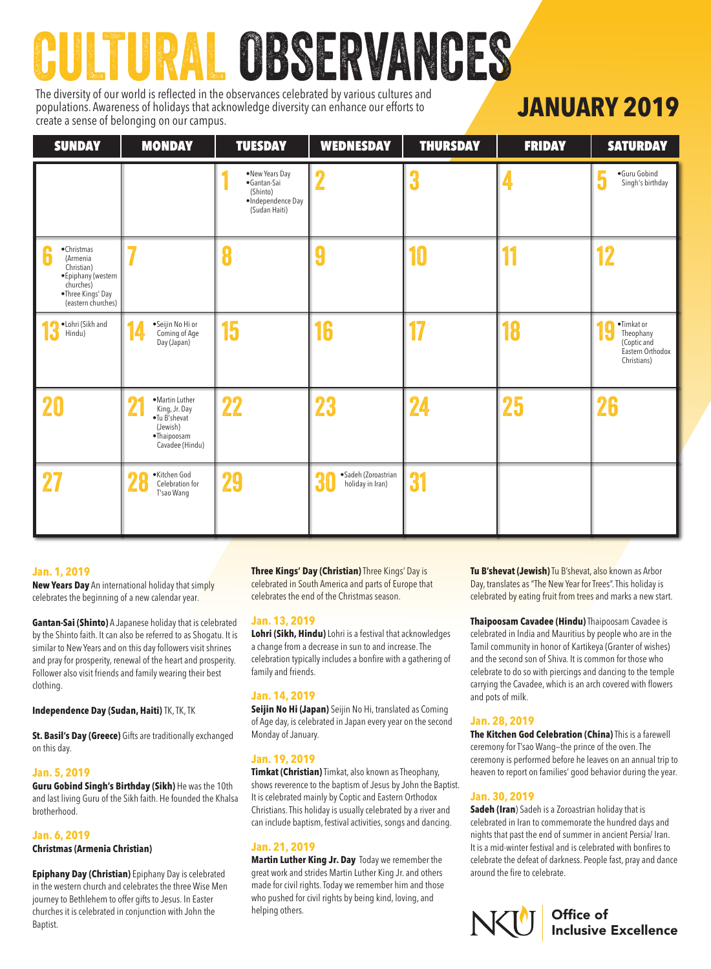# CULTURAL OBSERVANCES

The diversity of our world is reflected in the observances celebrated by various cultures and populations. Awareness of holidays that acknowledge diversity can enhance our efforts to create a sense of belonging on our campus.

## **JANUARY 2019**

| <b>SUNDAY</b>                                                                                                                    | <b>MONDAY</b>                                                                                             | <b>TUESDAY</b>                                                                  | <b>WEDNESDAY</b>                              | <b>THURSDAY</b> | <b>FRIDAY</b> | <b>SATURDAY</b>                                                                |
|----------------------------------------------------------------------------------------------------------------------------------|-----------------------------------------------------------------------------------------------------------|---------------------------------------------------------------------------------|-----------------------------------------------|-----------------|---------------|--------------------------------------------------------------------------------|
|                                                                                                                                  |                                                                                                           | •New Years Day<br>•Gantan-Sai<br>(Shinto)<br>·Independence Day<br>(Sudan Haiti) |                                               | 3               |               | ·Guru Gobind<br>Singh's birthday                                               |
| •Christmas<br><b>in</b><br>(Armenia<br>Christian)<br>• Epiphany (western<br>churches)<br>•Three Kings' Day<br>(eastern churches) |                                                                                                           | 8                                                                               |                                               | 10              | 11            | 12                                                                             |
| ·Lohri (Sikh and<br>Hindu)                                                                                                       | ·Seijin No Hi or<br>Coming of Age<br>Day (Japan)                                                          | 15                                                                              | 16                                            | 17              | 18            | ·Timkat or<br>Theophany<br>H<br>(Coptic and<br>Eastern Orthodox<br>Christians) |
| 20                                                                                                                               | ·Martin Luther<br>$\Omega$<br>King, Jr. Day<br>•Tu B'shevat<br>(Jewish)<br>·Thaipoosam<br>Cavadee (Hindu) | 22                                                                              | 23                                            | 24              | 25            | 26                                                                             |
| 27                                                                                                                               | ·Kitchen God<br>28<br>Celebration for<br>T'sao Wang                                                       | 29                                                                              | ·Sadeh (Zoroastrian<br>30<br>holiday in Iran) | 31              |               |                                                                                |

#### **Jan. 1, 2019**

**New Years Day** An international holiday that simply celebrates the beginning of a new calendar year.

**Gantan-Sai (Shinto)** A Japanese holiday that is celebrated by the Shinto faith. It can also be referred to as Shogatu. It is similar to New Years and on this day followers visit shrines and pray for prosperity, renewal of the heart and prosperity. Follower also visit friends and family wearing their best clothing.

**Independence Day (Sudan, Haiti)** TK, TK, TK

**St. Basil's Day (Greece)** Gifts are traditionally exchanged on this day.

#### **Jan. 5, 2019**

**Guru Gobind Singh's Birthday (Sikh)** He was the 10th and last living Guru of the Sikh faith. He founded the Khalsa brotherhood.

#### **Jan. 6, 2019**

#### **Christmas (Armenia Christian)**

**Epiphany Day (Christian)** Epiphany Day is celebrated in the western church and celebrates the three Wise Men journey to Bethlehem to offer gifts to Jesus. In Easter churches it is celebrated in conjunction with John the Baptist.

**Three Kings' Day (Christian)** Three Kings' Day is celebrated in South America and parts of Europe that celebrates the end of the Christmas season.

#### **Jan. 13, 2019**

**Lohri (Sikh, Hindu)** Lohri is a festival that acknowledges a change from a decrease in sun to and increase. The celebration typically includes a bonfire with a gathering of family and friends.

#### **Jan. 14, 2019**

**Seijin No Hi (Japan)** Seijin No Hi, translated as Coming of Age day, is celebrated in Japan every year on the second Monday of January.

#### **Jan. 19, 2019**

**Timkat (Christian)** Timkat, also known as Theophany, shows reverence to the baptism of Jesus by John the Baptist. It is celebrated mainly by Coptic and Eastern Orthodox Christians. This holiday is usually celebrated by a river and can include baptism, festival activities, songs and dancing.

#### **Jan. 21, 2019**

**Martin Luther King Jr. Day** Today we remember the great work and strides Martin Luther King Jr. and others made for civil rights. Today we remember him and those who pushed for civil rights by being kind, loving, and helping others.

**Tu B'shevat (Jewish)** Tu B'shevat, also known as Arbor Day, translates as "The New Year for Trees". This holiday is celebrated by eating fruit from trees and marks a new start.

**Thaipoosam Cavadee (Hindu)** Thaipoosam Cavadee is celebrated in India and Mauritius by people who are in the Tamil community in honor of Kartikeya (Granter of wishes) and the second son of Shiva. It is common for those who celebrate to do so with piercings and dancing to the temple carrying the Cavadee, which is an arch covered with flowers and pots of milk.

#### **Jan. 28, 2019**

**The Kitchen God Celebration (China)** This is a farewell ceremony for T'sao Wang—the prince of the oven. The ceremony is performed before he leaves on an annual trip to heaven to report on families' good behavior during the year.

#### **Jan. 30, 2019**

**Sadeh (Iran**) Sadeh is a Zoroastrian holiday that is celebrated in Iran to commemorate the hundred days and nights that past the end of summer in ancient Persia/ Iran. It is a mid-winter festival and is celebrated with bonfires to celebrate the defeat of darkness. People fast, pray and dance around the fire to celebrate.